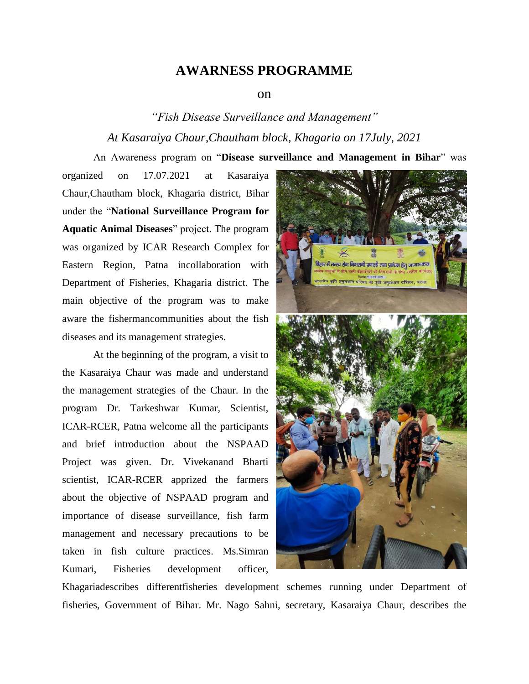## **AWARNESS PROGRAMME**

## on

## *"Fish Disease Surveillance and Management" At Kasaraiya Chaur,Chautham block, Khagaria on 17July, 2021*

An Awareness program on "**Disease surveillance and Management in Bihar**" was

organized on 17.07.2021 at Kasaraiya Chaur,Chautham block, Khagaria district, Bihar under the "**National Surveillance Program for Aquatic Animal Diseases**" project. The program was organized by ICAR Research Complex for Eastern Region, Patna incollaboration with Department of Fisheries, Khagaria district. The main objective of the program was to make aware the fishermancommunities about the fish diseases and its management strategies.

At the beginning of the program, a visit to the Kasaraiya Chaur was made and understand the management strategies of the Chaur. In the program Dr. Tarkeshwar Kumar, Scientist, ICAR-RCER, Patna welcome all the participants and brief introduction about the NSPAAD Project was given. Dr. Vivekanand Bharti scientist, ICAR-RCER apprized the farmers about the objective of NSPAAD program and importance of disease surveillance, fish farm management and necessary precautions to be taken in fish culture practices. Ms.Simran Kumari, Fisheries development officer,

.<br>बिहार में <mark>मत्स्य रोग</mark> निगरानी प्रणाली तथा प्रबंधन हेतु जागरूकता

Khagariadescribes differentfisheries development schemes running under Department of fisheries, Government of Bihar. Mr. Nago Sahni, secretary, Kasaraiya Chaur, describes the